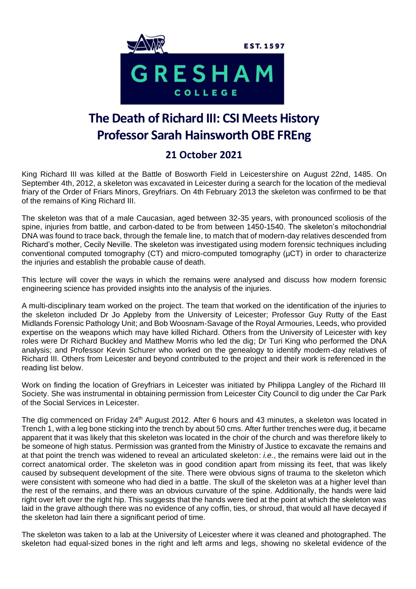

## **The Death of Richard III: CSI Meets History Professor Sarah Hainsworth OBE FREng**

## **21 October 2021**

King Richard III was killed at the Battle of Bosworth Field in Leicestershire on August 22nd, 1485. On September 4th, 2012, a skeleton was excavated in Leicester during a search for the location of the medieval friary of the Order of Friars Minors, Greyfriars. On 4th February 2013 the skeleton was confirmed to be that of the remains of King Richard III.

The skeleton was that of a male Caucasian, aged between 32-35 years, with pronounced scoliosis of the spine, injuries from battle, and carbon-dated to be from between 1450-1540. The skeleton's mitochondrial DNA was found to trace back, through the female line, to match that of modern-day relatives descended from Richard's mother, Cecily Neville. The skeleton was investigated using modern forensic techniques including conventional computed tomography (CT) and micro-computed tomography (µCT) in order to characterize the injuries and establish the probable cause of death.

This lecture will cover the ways in which the remains were analysed and discuss how modern forensic engineering science has provided insights into the analysis of the injuries.

A multi-disciplinary team worked on the project. The team that worked on the identification of the injuries to the skeleton included Dr Jo Appleby from the University of Leicester; Professor Guy Rutty of the East Midlands Forensic Pathology Unit; and Bob Woosnam-Savage of the Royal Armouries, Leeds, who provided expertise on the weapons which may have killed Richard. Others from the University of Leicester with key roles were Dr Richard Buckley and Matthew Morris who led the dig; Dr Turi King who performed the DNA analysis; and Professor Kevin Schurer who worked on the genealogy to identify modern-day relatives of Richard III. Others from Leicester and beyond contributed to the project and their work is referenced in the reading list below.

Work on finding the location of Greyfriars in Leicester was initiated by Philippa Langley of the Richard III Society. She was instrumental in obtaining permission from Leicester City Council to dig under the Car Park of the Social Services in Leicester.

The dig commenced on Friday 24<sup>th</sup> August 2012. After 6 hours and 43 minutes, a skeleton was located in Trench 1, with a leg bone sticking into the trench by about 50 cms. After further trenches were dug, it became apparent that it was likely that this skeleton was located in the choir of the church and was therefore likely to be someone of high status. Permission was granted from the Ministry of Justice to excavate the remains and at that point the trench was widened to reveal an articulated skeleton: *i.e.*, the remains were laid out in the correct anatomical order. The skeleton was in good condition apart from missing its feet, that was likely caused by subsequent development of the site. There were obvious signs of trauma to the skeleton which were consistent with someone who had died in a battle. The skull of the skeleton was at a higher level than the rest of the remains, and there was an obvious curvature of the spine. Additionally, the hands were laid right over left over the right hip. This suggests that the hands were tied at the point at which the skeleton was laid in the grave although there was no evidence of any coffin, ties, or shroud, that would all have decayed if the skeleton had lain there a significant period of time.

The skeleton was taken to a lab at the University of Leicester where it was cleaned and photographed. The skeleton had equal-sized bones in the right and left arms and legs, showing no skeletal evidence of the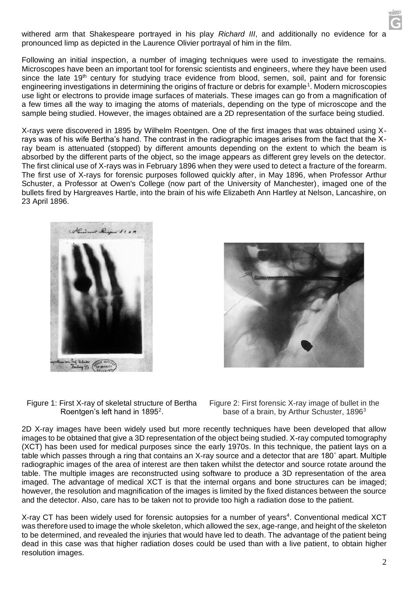

Following an initial inspection, a number of imaging techniques were used to investigate the remains. Microscopes have been an important tool for forensic scientists and engineers, where they have been used since the late 19<sup>th</sup> century for studying trace evidence from blood, semen, soil, paint and for forensic engineering investigations in determining the origins of fracture or debris for example<sup>1</sup>. Modern microscopies use light or electrons to provide image surfaces of materials. These images can go from a magnification of a few times all the way to imaging the atoms of materials, depending on the type of microscope and the sample being studied. However, the images obtained are a 2D representation of the surface being studied.

X-rays were discovered in 1895 by Wilhelm Roentgen. One of the first images that was obtained using Xrays was of his wife Bertha's hand. The contrast in the radiographic images arises from the fact that the Xray beam is attenuated (stopped) by different amounts depending on the extent to which the beam is absorbed by the different parts of the object, so the image appears as different grey levels on the detector. The first clinical use of X-rays was in February 1896 when they were used to detect a fracture of the forearm. The first use of X-rays for forensic purposes followed quickly after, in May 1896, when Professor Arthur Schuster, a Professor at Owen's College (now part of the University of Manchester), imaged one of the bullets fired by Hargreaves Hartle, into the brain of his wife Elizabeth Ann Hartley at Nelson, Lancashire, on 23 April 1896.





Figure 1: First X-ray of skeletal structure of Bertha Roentgen's left hand in 1895 $^2$ .

Figure 2: First forensic X-ray image of bullet in the base of a brain, by Arthur Schuster, 1896<sup>3</sup>

2D X-ray images have been widely used but more recently techniques have been developed that allow images to be obtained that give a 3D representation of the object being studied. X-ray computed tomography (XCT) has been used for medical purposes since the early 1970s. In this technique, the patient lays on a table which passes through a ring that contains an X-ray source and a detector that are 180˚ apart. Multiple radiographic images of the area of interest are then taken whilst the detector and source rotate around the table. The multiple images are reconstructed using software to produce a 3D representation of the area imaged. The advantage of medical XCT is that the internal organs and bone structures can be imaged; however, the resolution and magnification of the images is limited by the fixed distances between the source and the detector. Also, care has to be taken not to provide too high a radiation dose to the patient.

X-ray CT has been widely used for forensic autopsies for a number of years<sup>4</sup>. Conventional medical XCT was therefore used to image the whole skeleton, which allowed the sex, age-range, and height of the skeleton to be determined, and revealed the injuries that would have led to death. The advantage of the patient being dead in this case was that higher radiation doses could be used than with a live patient, to obtain higher resolution images.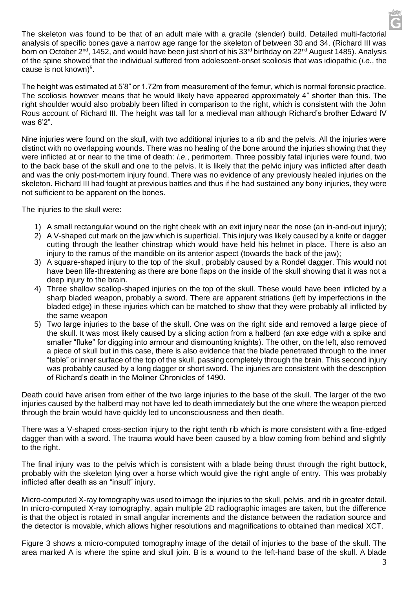The skeleton was found to be that of an adult male with a gracile (slender) build. Detailed multi-factorial analysis of specific bones gave a narrow age range for the skeleton of between 30 and 34. (Richard III was born on October 2<sup>nd</sup>, 1452, and would have been just short of his 33<sup>rd</sup> birthday on 22<sup>nd</sup> August 1485). Analysis of the spine showed that the individual suffered from adolescent-onset scoliosis that was idiopathic (*i.e.*, the cause is not known)<sup>5</sup>.

The height was estimated at 5'8" or 1.72m from measurement of the femur, which is normal forensic practice. The scoliosis however means that he would likely have appeared approximately 4" shorter than this. The right shoulder would also probably been lifted in comparison to the right, which is consistent with the John Rous account of Richard III. The height was tall for a medieval man although Richard's brother Edward IV was 6'2".

Nine injuries were found on the skull, with two additional injuries to a rib and the pelvis. All the injuries were distinct with no overlapping wounds. There was no healing of the bone around the injuries showing that they were inflicted at or near to the time of death: *i.e.*, perimortem. Three possibly fatal injuries were found, two to the back base of the skull and one to the pelvis. It is likely that the pelvic injury was inflicted after death and was the only post-mortem injury found. There was no evidence of any previously healed injuries on the skeleton. Richard III had fought at previous battles and thus if he had sustained any bony injuries, they were not sufficient to be apparent on the bones.

The injuries to the skull were:

- 1) A small rectangular wound on the right cheek with an exit injury near the nose (an in-and-out injury);
- 2) A V-shaped cut mark on the jaw which is superficial. This injury was likely caused by a knife or dagger cutting through the leather chinstrap which would have held his helmet in place. There is also an injury to the ramus of the mandible on its anterior aspect (towards the back of the jaw);
- 3) A square-shaped injury to the top of the skull, probably caused by a Rondel dagger. This would not have been life-threatening as there are bone flaps on the inside of the skull showing that it was not a deep injury to the brain.
- 4) Three shallow scallop-shaped injuries on the top of the skull. These would have been inflicted by a sharp bladed weapon, probably a sword. There are apparent striations (left by imperfections in the bladed edge) in these injuries which can be matched to show that they were probably all inflicted by the same weapon
- 5) Two large injuries to the base of the skull. One was on the right side and removed a large piece of the skull. It was most likely caused by a slicing action from a halberd (an axe edge with a spike and smaller "fluke" for digging into armour and dismounting knights). The other, on the left, also removed a piece of skull but in this case, there is also evidence that the blade penetrated through to the inner "table" or inner surface of the top of the skull, passing completely through the brain. This second injury was probably caused by a long dagger or short sword. The injuries are consistent with the description of Richard's death in the Moliner Chronicles of 1490.

Death could have arisen from either of the two large injuries to the base of the skull. The larger of the two injuries caused by the halberd may not have led to death immediately but the one where the weapon pierced through the brain would have quickly led to unconsciousness and then death.

There was a V-shaped cross-section injury to the right tenth rib which is more consistent with a fine-edged dagger than with a sword. The trauma would have been caused by a blow coming from behind and slightly to the right.

The final injury was to the pelvis which is consistent with a blade being thrust through the right buttock, probably with the skeleton lying over a horse which would give the right angle of entry. This was probably inflicted after death as an "insult" injury.

Micro-computed X-ray tomography was used to image the injuries to the skull, pelvis, and rib in greater detail. In micro-computed X-ray tomography, again multiple 2D radiographic images are taken, but the difference is that the object is rotated in small angular increments and the distance between the radiation source and the detector is movable, which allows higher resolutions and magnifications to obtained than medical XCT.

Figure 3 shows a micro-computed tomography image of the detail of injuries to the base of the skull. The area marked A is where the spine and skull join. B is a wound to the left-hand base of the skull. A blade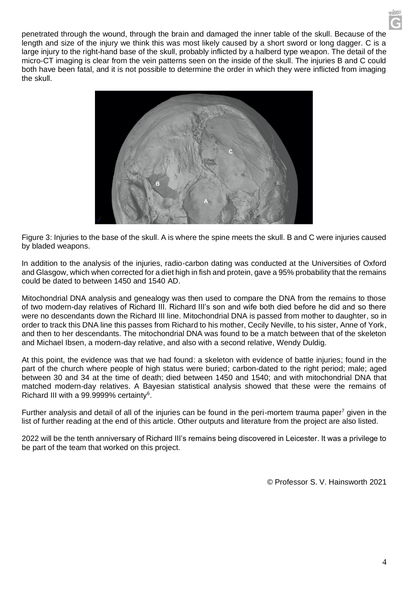penetrated through the wound, through the brain and damaged the inner table of the skull. Because of the length and size of the injury we think this was most likely caused by a short sword or long dagger. C is a large injury to the right-hand base of the skull, probably inflicted by a halberd type weapon. The detail of the micro-CT imaging is clear from the vein patterns seen on the inside of the skull. The injuries B and C could both have been fatal, and it is not possible to determine the order in which they were inflicted from imaging the skull.



Figure 3: Injuries to the base of the skull. A is where the spine meets the skull. B and C were injuries caused by bladed weapons.

In addition to the analysis of the injuries, radio-carbon dating was conducted at the Universities of Oxford and Glasgow, which when corrected for a diet high in fish and protein, gave a 95% probability that the remains could be dated to between 1450 and 1540 AD.

Mitochondrial DNA analysis and genealogy was then used to compare the DNA from the remains to those of two modern-day relatives of Richard III. Richard III's son and wife both died before he did and so there were no descendants down the Richard III line. Mitochondrial DNA is passed from mother to daughter, so in order to track this DNA line this passes from Richard to his mother, Cecily Neville, to his sister, Anne of York, and then to her descendants. The mitochondrial DNA was found to be a match between that of the skeleton and Michael Ibsen, a modern-day relative, and also with a second relative, Wendy Duldig.

At this point, the evidence was that we had found: a skeleton with evidence of battle injuries; found in the part of the church where people of high status were buried; carbon-dated to the right period; male; aged between 30 and 34 at the time of death; died between 1450 and 1540; and with mitochondrial DNA that matched modern-day relatives. A Bayesian statistical analysis showed that these were the remains of Richard III with a 99.9999% certainty<sup>6</sup>.

Further analysis and detail of all of the injuries can be found in the peri-mortem trauma paper<sup>7</sup> given in the list of further reading at the end of this article. Other outputs and literature from the project are also listed.

2022 will be the tenth anniversary of Richard III's remains being discovered in Leicester. It was a privilege to be part of the team that worked on this project.

© Professor S. V. Hainsworth 2021